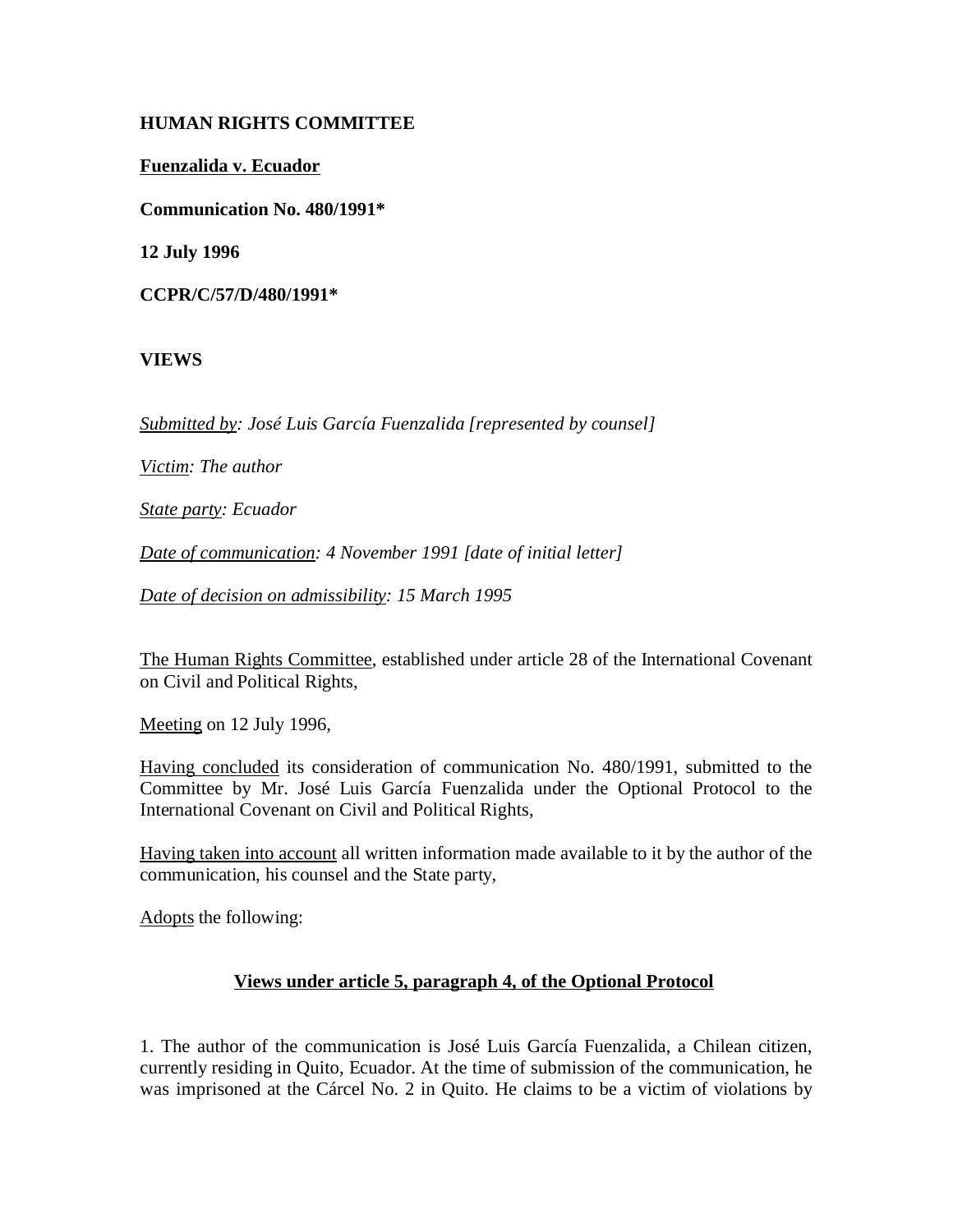# **HUMAN RIGHTS COMMITTEE**

**Fuenzalida v. Ecuador**

**Communication No. 480/1991\***

**12 July 1996**

**CCPR/C/57/D/480/1991\***

# **VIEWS**

*Submitted by: José Luis García Fuenzalida [represented by counsel]*

*Victim: The author*

*State party: Ecuador*

*Date of communication: 4 November 1991 [date of initial letter]*

*Date of decision on admissibility: 15 March 1995*

The Human Rights Committee, established under article 28 of the International Covenant on Civil and Political Rights,

Meeting on 12 July 1996,

Having concluded its consideration of communication No. 480/1991, submitted to the Committee by Mr. José Luis García Fuenzalida under the Optional Protocol to the International Covenant on Civil and Political Rights,

Having taken into account all written information made available to it by the author of the communication, his counsel and the State party,

Adopts the following:

## **Views under article 5, paragraph 4, of the Optional Protocol**

1. The author of the communication is José Luis García Fuenzalida, a Chilean citizen, currently residing in Quito, Ecuador. At the time of submission of the communication, he was imprisoned at the Cárcel No. 2 in Quito. He claims to be a victim of violations by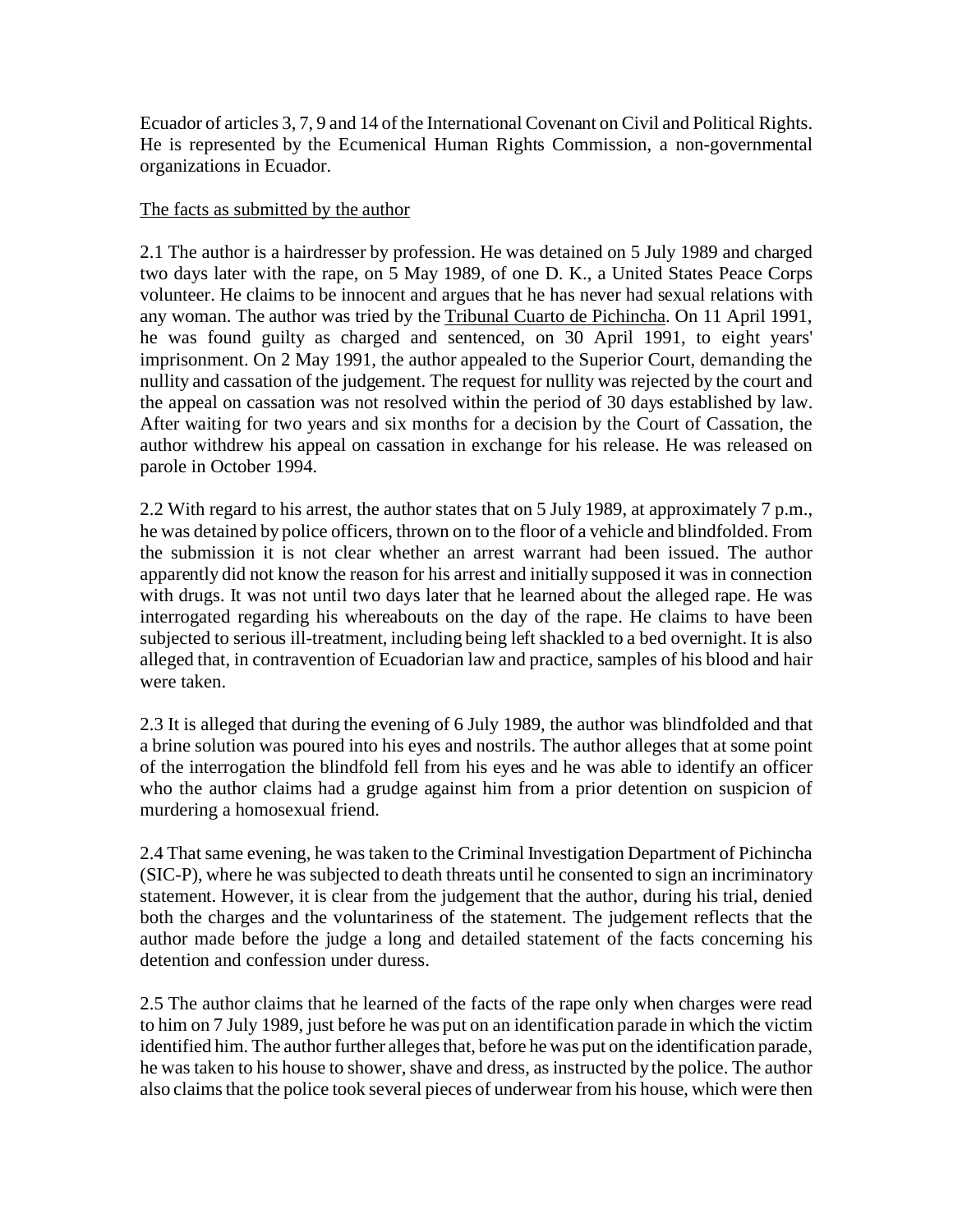Ecuador of articles 3, 7, 9 and 14 of the International Covenant on Civil and Political Rights. He is represented by the Ecumenical Human Rights Commission, a non-governmental organizations in Ecuador.

#### The facts as submitted by the author

2.1 The author is a hairdresser by profession. He was detained on 5 July 1989 and charged two days later with the rape, on 5 May 1989, of one D. K., a United States Peace Corps volunteer. He claims to be innocent and argues that he has never had sexual relations with any woman. The author was tried by the Tribunal Cuarto de Pichincha. On 11 April 1991, he was found guilty as charged and sentenced, on 30 April 1991, to eight years' imprisonment. On 2 May 1991, the author appealed to the Superior Court, demanding the nullity and cassation of the judgement. The request for nullity was rejected by the court and the appeal on cassation was not resolved within the period of 30 days established by law. After waiting for two years and six months for a decision by the Court of Cassation, the author withdrew his appeal on cassation in exchange for his release. He was released on parole in October 1994.

2.2 With regard to his arrest, the author states that on 5 July 1989, at approximately 7 p.m., he was detained by police officers, thrown on to the floor of a vehicle and blindfolded. From the submission it is not clear whether an arrest warrant had been issued. The author apparently did not know the reason for his arrest and initially supposed it was in connection with drugs. It was not until two days later that he learned about the alleged rape. He was interrogated regarding his whereabouts on the day of the rape. He claims to have been subjected to serious ill-treatment, including being left shackled to a bed overnight. It is also alleged that, in contravention of Ecuadorian law and practice, samples of his blood and hair were taken.

2.3 It is alleged that during the evening of 6 July 1989, the author was blindfolded and that a brine solution was poured into his eyes and nostrils. The author alleges that at some point of the interrogation the blindfold fell from his eyes and he was able to identify an officer who the author claims had a grudge against him from a prior detention on suspicion of murdering a homosexual friend.

2.4 That same evening, he was taken to the Criminal Investigation Department of Pichincha (SIC-P), where he was subjected to death threats until he consented to sign an incriminatory statement. However, it is clear from the judgement that the author, during his trial, denied both the charges and the voluntariness of the statement. The judgement reflects that the author made before the judge a long and detailed statement of the facts concerning his detention and confession under duress.

2.5 The author claims that he learned of the facts of the rape only when charges were read to him on 7 July 1989, just before he was put on an identification parade in which the victim identified him. The author further alleges that, before he was put on the identification parade, he was taken to his house to shower, shave and dress, as instructed by the police. The author also claims that the police took several pieces of underwear from his house, which were then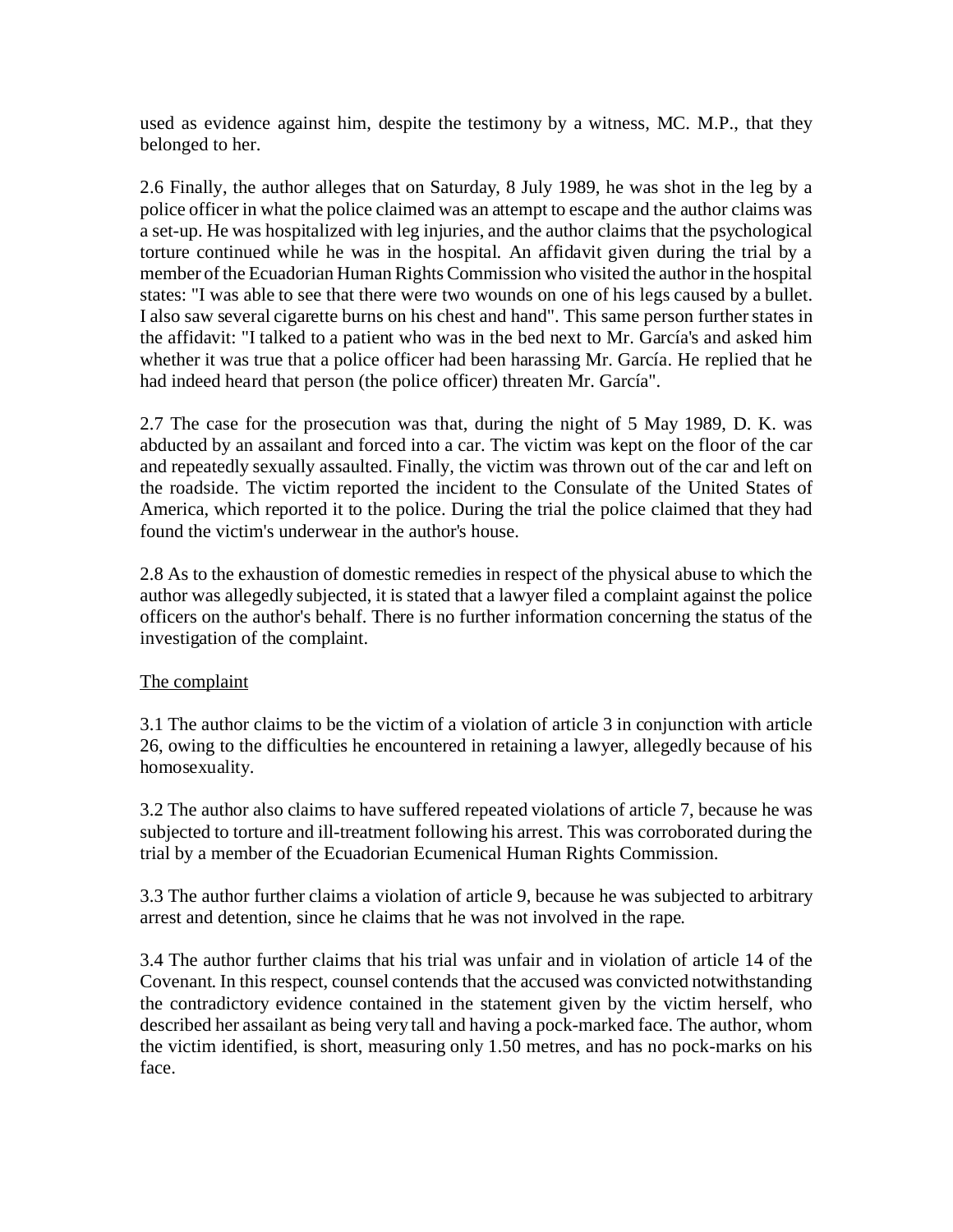used as evidence against him, despite the testimony by a witness, MC. M.P., that they belonged to her.

2.6 Finally, the author alleges that on Saturday, 8 July 1989, he was shot in the leg by a police officer in what the police claimed was an attempt to escape and the author claims was a set-up. He was hospitalized with leg injuries, and the author claims that the psychological torture continued while he was in the hospital. An affidavit given during the trial by a member of the Ecuadorian Human Rights Commission who visited the author in the hospital states: "I was able to see that there were two wounds on one of his legs caused by a bullet. I also saw several cigarette burns on his chest and hand". This same person further states in the affidavit: "I talked to a patient who was in the bed next to Mr. García's and asked him whether it was true that a police officer had been harassing Mr. García. He replied that he had indeed heard that person (the police officer) threaten Mr. García".

2.7 The case for the prosecution was that, during the night of 5 May 1989, D. K. was abducted by an assailant and forced into a car. The victim was kept on the floor of the car and repeatedly sexually assaulted. Finally, the victim was thrown out of the car and left on the roadside. The victim reported the incident to the Consulate of the United States of America, which reported it to the police. During the trial the police claimed that they had found the victim's underwear in the author's house.

2.8 As to the exhaustion of domestic remedies in respect of the physical abuse to which the author was allegedly subjected, it is stated that a lawyer filed a complaint against the police officers on the author's behalf. There is no further information concerning the status of the investigation of the complaint.

## The complaint

3.1 The author claims to be the victim of a violation of article 3 in conjunction with article 26, owing to the difficulties he encountered in retaining a lawyer, allegedly because of his homosexuality.

3.2 The author also claims to have suffered repeated violations of article 7, because he was subjected to torture and ill-treatment following his arrest. This was corroborated during the trial by a member of the Ecuadorian Ecumenical Human Rights Commission.

3.3 The author further claims a violation of article 9, because he was subjected to arbitrary arrest and detention, since he claims that he was not involved in the rape.

3.4 The author further claims that his trial was unfair and in violation of article 14 of the Covenant. In this respect, counsel contends that the accused was convicted notwithstanding the contradictory evidence contained in the statement given by the victim herself, who described her assailant as being very tall and having a pock-marked face. The author, whom the victim identified, is short, measuring only 1.50 metres, and has no pock-marks on his face.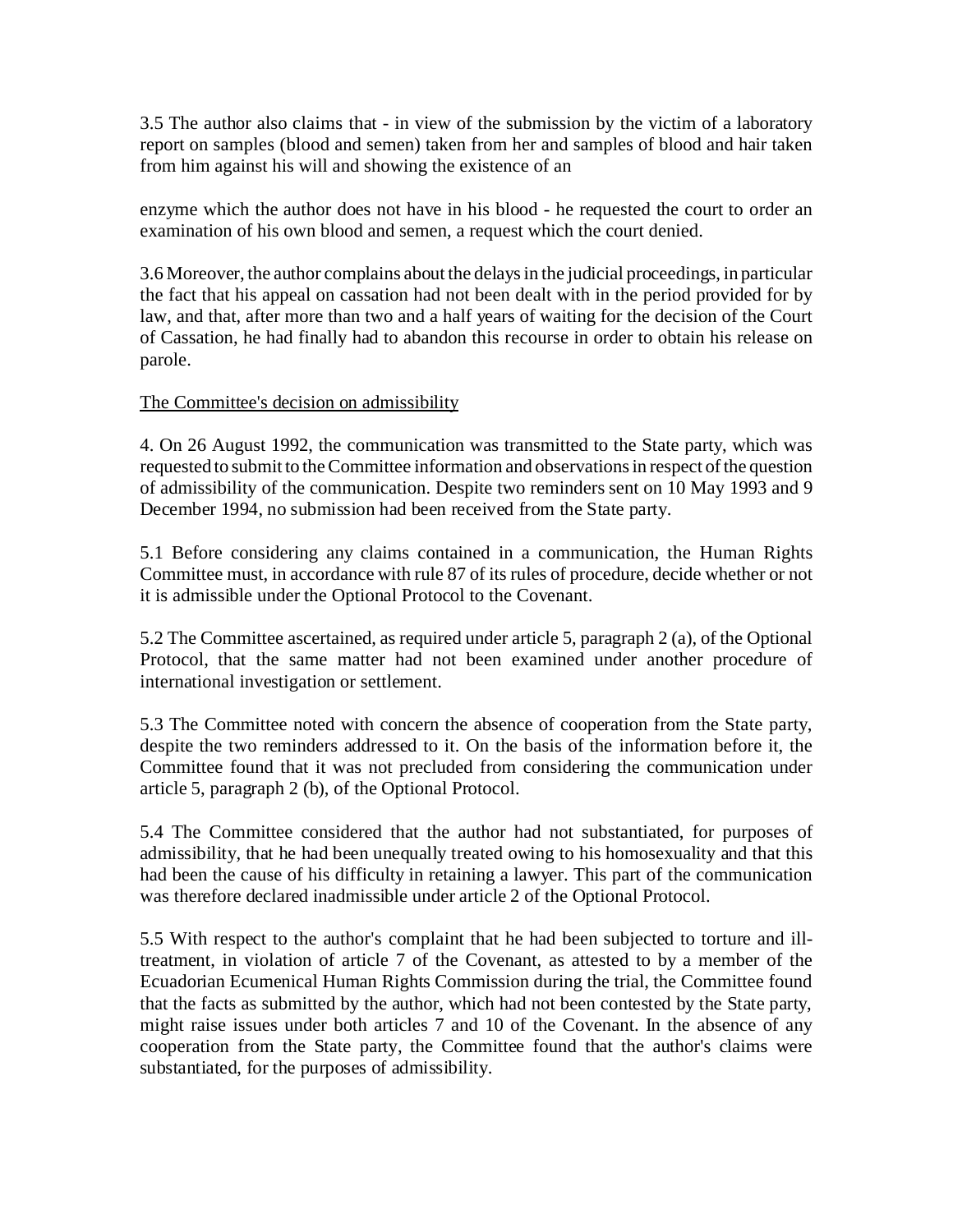3.5 The author also claims that - in view of the submission by the victim of a laboratory report on samples (blood and semen) taken from her and samples of blood and hair taken from him against his will and showing the existence of an

enzyme which the author does not have in his blood - he requested the court to order an examination of his own blood and semen, a request which the court denied.

3.6 Moreover, the author complains about the delays in the judicial proceedings, in particular the fact that his appeal on cassation had not been dealt with in the period provided for by law, and that, after more than two and a half years of waiting for the decision of the Court of Cassation, he had finally had to abandon this recourse in order to obtain his release on parole.

# The Committee's decision on admissibility

4. On 26 August 1992, the communication was transmitted to the State party, which was requested to submit to the Committee information and observations in respect of the question of admissibility of the communication. Despite two reminders sent on 10 May 1993 and 9 December 1994, no submission had been received from the State party.

5.1 Before considering any claims contained in a communication, the Human Rights Committee must, in accordance with rule 87 of its rules of procedure, decide whether or not it is admissible under the Optional Protocol to the Covenant.

5.2 The Committee ascertained, as required under article 5, paragraph 2 (a), of the Optional Protocol, that the same matter had not been examined under another procedure of international investigation or settlement.

5.3 The Committee noted with concern the absence of cooperation from the State party, despite the two reminders addressed to it. On the basis of the information before it, the Committee found that it was not precluded from considering the communication under article 5, paragraph 2 (b), of the Optional Protocol.

5.4 The Committee considered that the author had not substantiated, for purposes of admissibility, that he had been unequally treated owing to his homosexuality and that this had been the cause of his difficulty in retaining a lawyer. This part of the communication was therefore declared inadmissible under article 2 of the Optional Protocol.

5.5 With respect to the author's complaint that he had been subjected to torture and illtreatment, in violation of article 7 of the Covenant, as attested to by a member of the Ecuadorian Ecumenical Human Rights Commission during the trial, the Committee found that the facts as submitted by the author, which had not been contested by the State party, might raise issues under both articles 7 and 10 of the Covenant. In the absence of any cooperation from the State party, the Committee found that the author's claims were substantiated, for the purposes of admissibility.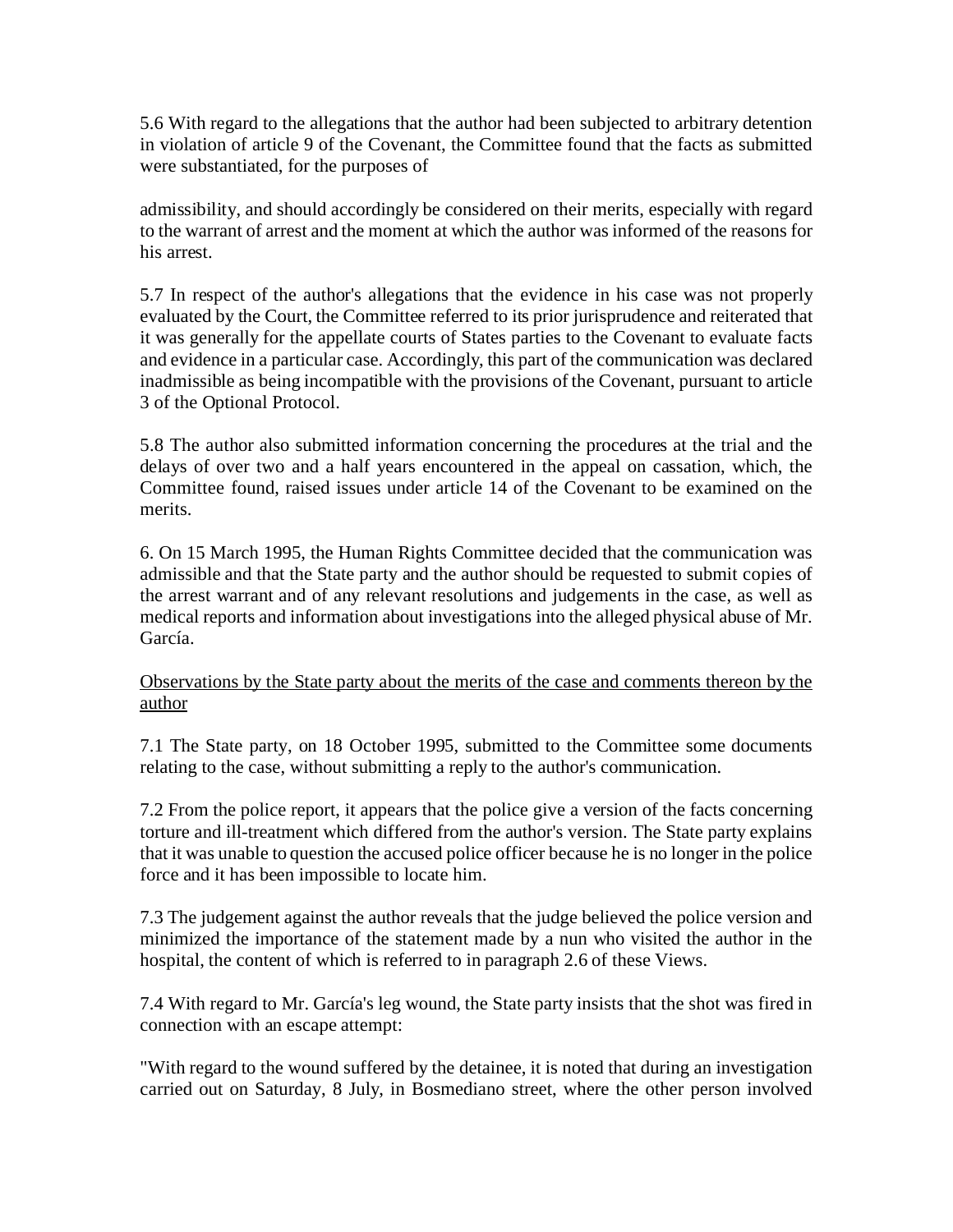5.6 With regard to the allegations that the author had been subjected to arbitrary detention in violation of article 9 of the Covenant, the Committee found that the facts as submitted were substantiated, for the purposes of

admissibility, and should accordingly be considered on their merits, especially with regard to the warrant of arrest and the moment at which the author was informed of the reasons for his arrest.

5.7 In respect of the author's allegations that the evidence in his case was not properly evaluated by the Court, the Committee referred to its prior jurisprudence and reiterated that it was generally for the appellate courts of States parties to the Covenant to evaluate facts and evidence in a particular case. Accordingly, this part of the communication was declared inadmissible as being incompatible with the provisions of the Covenant, pursuant to article 3 of the Optional Protocol.

5.8 The author also submitted information concerning the procedures at the trial and the delays of over two and a half years encountered in the appeal on cassation, which, the Committee found, raised issues under article 14 of the Covenant to be examined on the merits.

6. On 15 March 1995, the Human Rights Committee decided that the communication was admissible and that the State party and the author should be requested to submit copies of the arrest warrant and of any relevant resolutions and judgements in the case, as well as medical reports and information about investigations into the alleged physical abuse of Mr. García.

# Observations by the State party about the merits of the case and comments thereon by the author

7.1 The State party, on 18 October 1995, submitted to the Committee some documents relating to the case, without submitting a reply to the author's communication.

7.2 From the police report, it appears that the police give a version of the facts concerning torture and ill-treatment which differed from the author's version. The State party explains that it was unable to question the accused police officer because he is no longer in the police force and it has been impossible to locate him.

7.3 The judgement against the author reveals that the judge believed the police version and minimized the importance of the statement made by a nun who visited the author in the hospital, the content of which is referred to in paragraph 2.6 of these Views.

7.4 With regard to Mr. García's leg wound, the State party insists that the shot was fired in connection with an escape attempt:

"With regard to the wound suffered by the detainee, it is noted that during an investigation carried out on Saturday, 8 July, in Bosmediano street, where the other person involved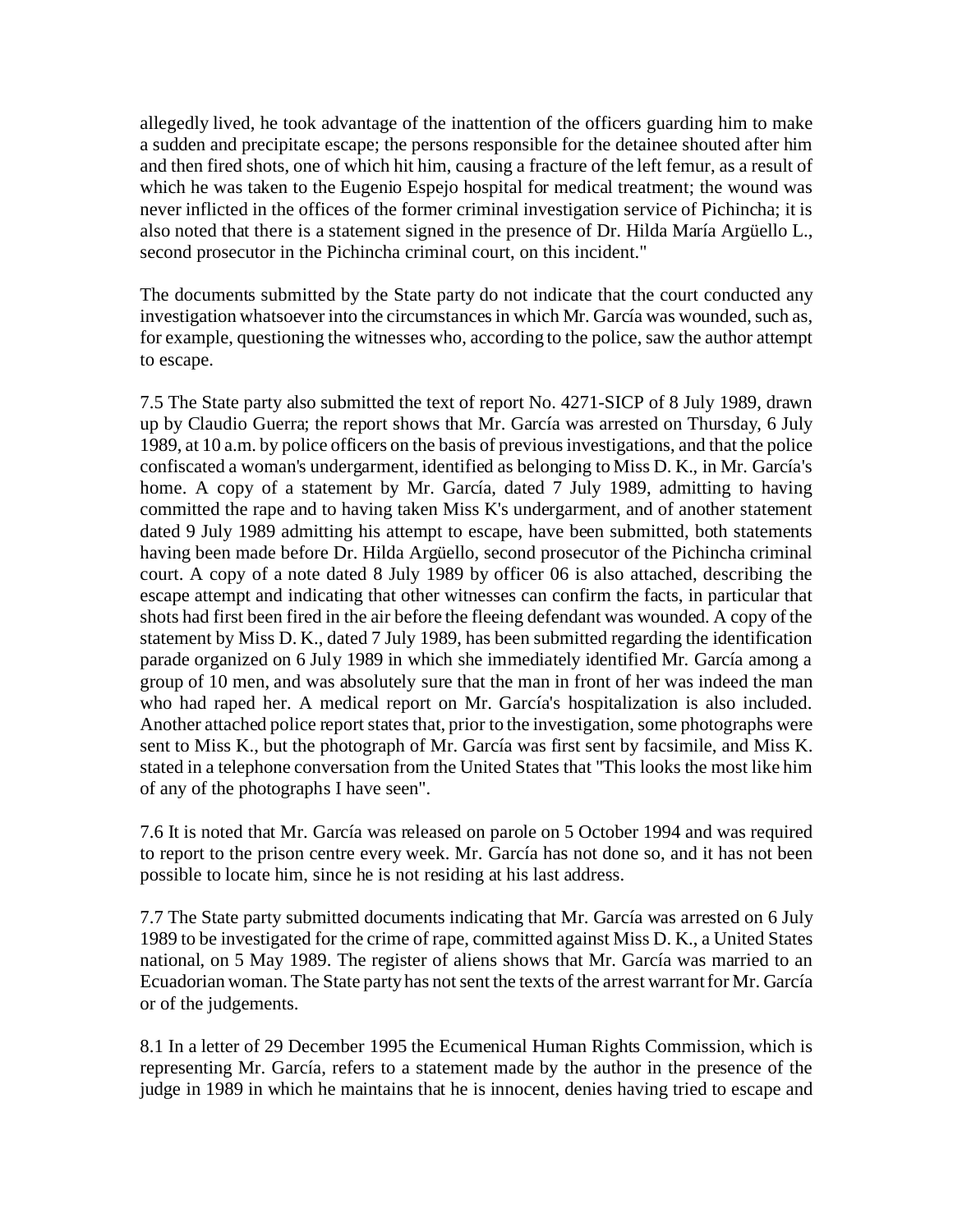allegedly lived, he took advantage of the inattention of the officers guarding him to make a sudden and precipitate escape; the persons responsible for the detainee shouted after him and then fired shots, one of which hit him, causing a fracture of the left femur, as a result of which he was taken to the Eugenio Espejo hospital for medical treatment; the wound was never inflicted in the offices of the former criminal investigation service of Pichincha; it is also noted that there is a statement signed in the presence of Dr. Hilda María Argüello L., second prosecutor in the Pichincha criminal court, on this incident."

The documents submitted by the State party do not indicate that the court conducted any investigation whatsoever into the circumstances in which Mr. García was wounded, such as, for example, questioning the witnesses who, according to the police, saw the author attempt to escape.

7.5 The State party also submitted the text of report No. 4271-SICP of 8 July 1989, drawn up by Claudio Guerra; the report shows that Mr. García was arrested on Thursday, 6 July 1989, at 10 a.m. by police officers on the basis of previous investigations, and that the police confiscated a woman's undergarment, identified as belonging to Miss D. K., in Mr. García's home. A copy of a statement by Mr. García, dated 7 July 1989, admitting to having committed the rape and to having taken Miss K's undergarment, and of another statement dated 9 July 1989 admitting his attempt to escape, have been submitted, both statements having been made before Dr. Hilda Argüello, second prosecutor of the Pichincha criminal court. A copy of a note dated 8 July 1989 by officer 06 is also attached, describing the escape attempt and indicating that other witnesses can confirm the facts, in particular that shots had first been fired in the air before the fleeing defendant was wounded. A copy of the statement by Miss D. K., dated 7 July 1989, has been submitted regarding the identification parade organized on 6 July 1989 in which she immediately identified Mr. García among a group of 10 men, and was absolutely sure that the man in front of her was indeed the man who had raped her. A medical report on Mr. García's hospitalization is also included. Another attached police report states that, prior to the investigation, some photographs were sent to Miss K., but the photograph of Mr. García was first sent by facsimile, and Miss K. stated in a telephone conversation from the United States that "This looks the most like him of any of the photographs I have seen".

7.6 It is noted that Mr. García was released on parole on 5 October 1994 and was required to report to the prison centre every week. Mr. García has not done so, and it has not been possible to locate him, since he is not residing at his last address.

7.7 The State party submitted documents indicating that Mr. García was arrested on 6 July 1989 to be investigated for the crime of rape, committed against Miss D. K., a United States national, on 5 May 1989. The register of aliens shows that Mr. García was married to an Ecuadorian woman. The State party has not sent the texts of the arrest warrant for Mr. García or of the judgements.

8.1 In a letter of 29 December 1995 the Ecumenical Human Rights Commission, which is representing Mr. García, refers to a statement made by the author in the presence of the judge in 1989 in which he maintains that he is innocent, denies having tried to escape and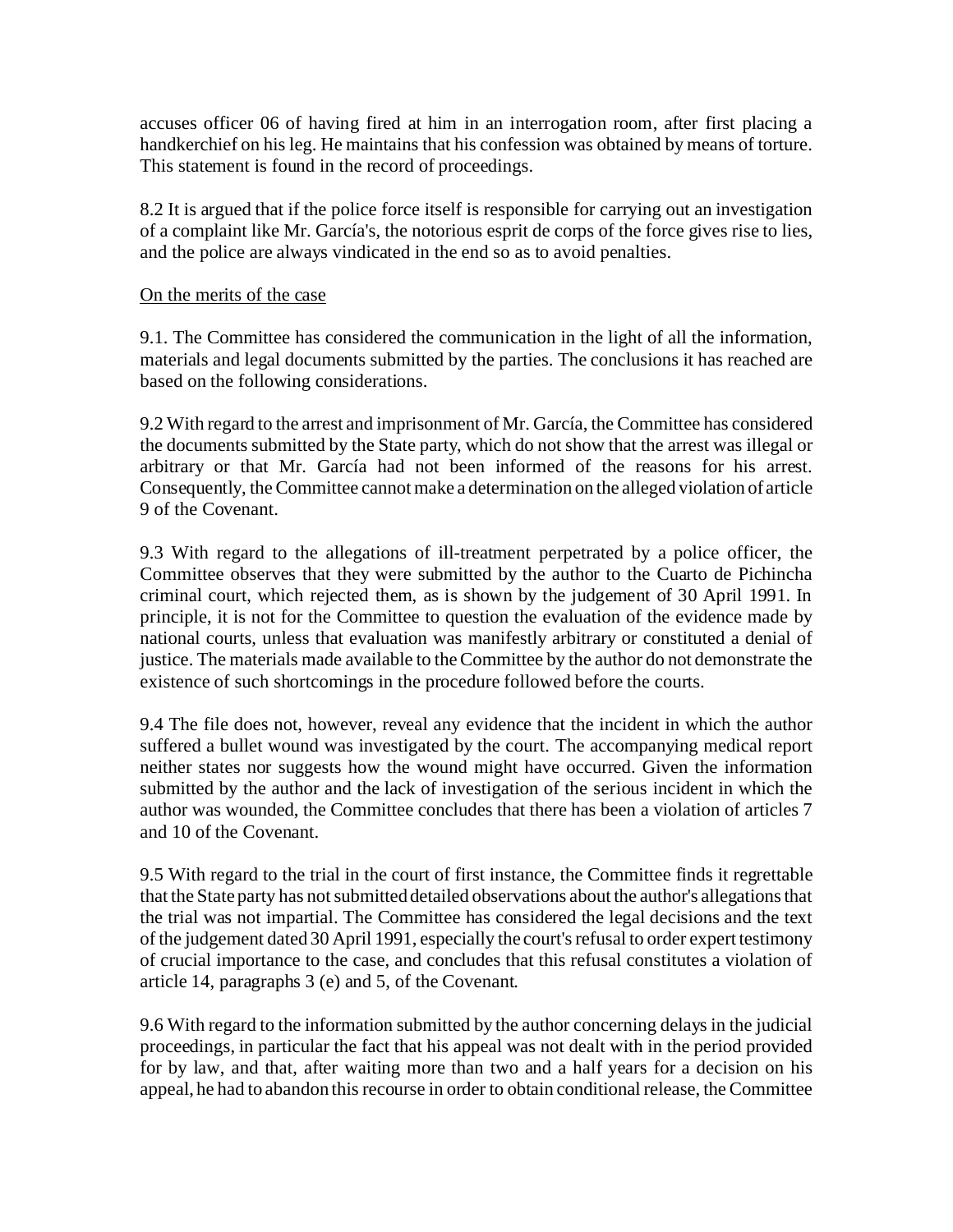accuses officer 06 of having fired at him in an interrogation room, after first placing a handkerchief on his leg. He maintains that his confession was obtained by means of torture. This statement is found in the record of proceedings.

8.2 It is argued that if the police force itself is responsible for carrying out an investigation of a complaint like Mr. García's, the notorious esprit de corps of the force gives rise to lies, and the police are always vindicated in the end so as to avoid penalties.

#### On the merits of the case

9.1. The Committee has considered the communication in the light of all the information, materials and legal documents submitted by the parties. The conclusions it has reached are based on the following considerations.

9.2 With regard to the arrest and imprisonment of Mr. García, the Committee has considered the documents submitted by the State party, which do not show that the arrest was illegal or arbitrary or that Mr. García had not been informed of the reasons for his arrest. Consequently, the Committee cannot make a determination on the alleged violation of article 9 of the Covenant.

9.3 With regard to the allegations of ill-treatment perpetrated by a police officer, the Committee observes that they were submitted by the author to the Cuarto de Pichincha criminal court, which rejected them, as is shown by the judgement of 30 April 1991. In principle, it is not for the Committee to question the evaluation of the evidence made by national courts, unless that evaluation was manifestly arbitrary or constituted a denial of justice. The materials made available to the Committee by the author do not demonstrate the existence of such shortcomings in the procedure followed before the courts.

9.4 The file does not, however, reveal any evidence that the incident in which the author suffered a bullet wound was investigated by the court. The accompanying medical report neither states nor suggests how the wound might have occurred. Given the information submitted by the author and the lack of investigation of the serious incident in which the author was wounded, the Committee concludes that there has been a violation of articles 7 and 10 of the Covenant.

9.5 With regard to the trial in the court of first instance, the Committee finds it regrettable that the State party has not submitted detailed observations about the author's allegations that the trial was not impartial. The Committee has considered the legal decisions and the text of the judgement dated 30 April 1991, especially the court's refusal to order expert testimony of crucial importance to the case, and concludes that this refusal constitutes a violation of article 14, paragraphs 3 (e) and 5, of the Covenant.

9.6 With regard to the information submitted by the author concerning delays in the judicial proceedings, in particular the fact that his appeal was not dealt with in the period provided for by law, and that, after waiting more than two and a half years for a decision on his appeal, he had to abandon this recourse in order to obtain conditional release, the Committee